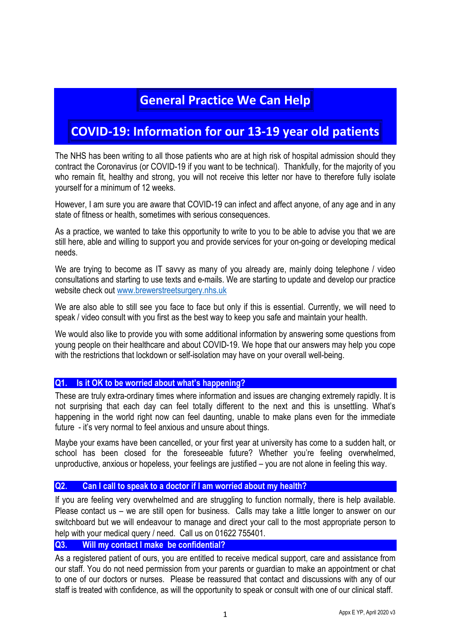# **General Practice We Can Help**

# **COVID-19: Information for our 13-19 year old patients**

The NHS has been writing to all those patients who are at high risk of hospital admission should they contract the Coronavirus (or COVID-19 if you want to be technical). Thankfully, for the majority of you who remain fit, healthy and strong, you will not receive this letter nor have to therefore fully isolate yourself for a minimum of 12 weeks.

However, I am sure you are aware that COVID-19 can infect and affect anyone, of any age and in any state of fitness or health, sometimes with serious consequences.

As a practice, we wanted to take this opportunity to write to you to be able to advise you that we are still here, able and willing to support you and provide services for your on-going or developing medical needs.

We are trying to become as IT savvy as many of you already are, mainly doing telephone / video consultations and starting to use texts and e-mails. We are starting to update and develop our practice website check out www.brewerstreetsurgery.nhs.uk

We are also able to still see you face to face but only if this is essential. Currently, we will need to speak / video consult with you first as the best way to keep you safe and maintain your health.

We would also like to provide you with some additional information by answering some questions from young people on their healthcare and about COVID-19. We hope that our answers may help you cope with the restrictions that lockdown or self-isolation may have on your overall well-being.

## **Q1. Is it OK to be worried about what's happening?**

These are truly extra-ordinary times where information and issues are changing extremely rapidly. It is not surprising that each day can feel totally different to the next and this is unsettling. What's happening in the world right now can feel daunting, unable to make plans even for the immediate future - it's very normal to feel anxious and unsure about things.

Maybe your exams have been cancelled, or your first year at university has come to a sudden halt, or school has been closed for the foreseeable future? Whether you're feeling overwhelmed, unproductive, anxious or hopeless, your feelings are justified – you are not alone in feeling this way.

## **Q2. Can I call to speak to a doctor if I am worried about my health?**

If you are feeling very overwhelmed and are struggling to function normally, there is help available. Please contact us – we are still open for business. Calls may take a little longer to answer on our switchboard but we will endeavour to manage and direct your call to the most appropriate person to help with your medical query / need. Call us on 01622 755401.

## **Q3. Will my contact I make be confidential?**

As a registered patient of ours, you are entitled to receive medical support, care and assistance from our staff. You do not need permission from your parents or guardian to make an appointment or chat to one of our doctors or nurses. Please be reassured that contact and discussions with any of our staff is treated with confidence, as will the opportunity to speak or consult with one of our clinical staff.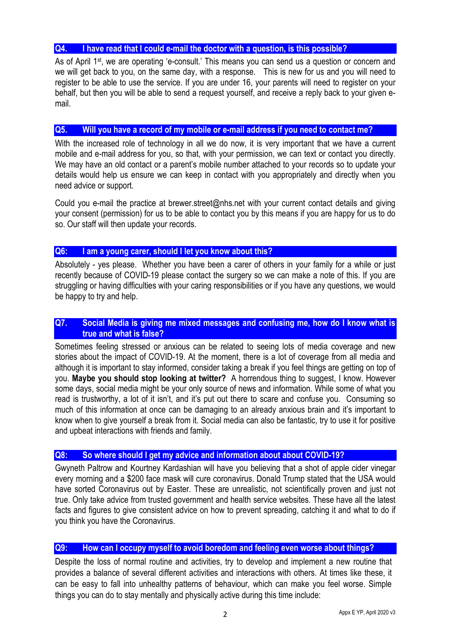## **Q4. I have read that I could e-mail the doctor with a question, is this possible?**

As of April 1<sup>st</sup>, we are operating 'e-consult.' This means you can send us a question or concern and we will get back to you, on the same day, with a response. This is new for us and you will need to register to be able to use the service. If you are under 16, your parents will need to register on your behalf, but then you will be able to send a request yourself, and receive a reply back to your given email.

## **Q5. Will you have a record of my mobile or e-mail address if you need to contact me?**

With the increased role of technology in all we do now, it is very important that we have a current mobile and e-mail address for you, so that, with your permission, we can text or contact you directly. We may have an old contact or a parent's mobile number attached to your records so to update your details would help us ensure we can keep in contact with you appropriately and directly when you need advice or support.

Could you e-mail the practice at brewer.street@nhs.net with your current contact details and giving your consent (permission) for us to be able to contact you by this means if you are happy for us to do so. Our staff will then update your records.

## **Q6: I am a young carer, should I let you know about this?**

Absolutely - yes please. Whether you have been a carer of others in your family for a while or just recently because of COVID-19 please contact the surgery so we can make a note of this. If you are struggling or having difficulties with your caring responsibilities or if you have any questions, we would be happy to try and help.

## **Q7. Social Media is giving me mixed messages and confusing me, how do I know what is true and what is false?**

Sometimes feeling stressed or anxious can be related to seeing lots of media coverage and new stories about the impact of COVID-19. At the moment, there is a lot of coverage from all media and although it is important to stay informed, consider taking a break if you feel things are getting on top of you. **Maybe you should stop looking at twitter?** A horrendous thing to suggest, I know. However some days, social media might be your only source of news and information. While some of what you read is trustworthy, a lot of it isn't, and it's put out there to scare and confuse you. Consuming so much of this information at once can be damaging to an already anxious brain and it's important to know when to give yourself a break from it. Social media can also be fantastic, try to use it for positive and upbeat interactions with friends and family.

## **Q8: So where should I get my advice and information about about COVID-19?**

Gwyneth Paltrow and Kourtney Kardashian will have you believing that a shot of apple cider vinegar every morning and a \$200 face mask will cure coronavirus. Donald Trump stated that the USA would have sorted Coronavirus out by Easter. These are unrealistic, not scientifically proven and just not true. Only take advice from trusted government and health service websites. These have all the latest facts and figures to give consistent advice on how to prevent spreading, catching it and what to do if you think you have the Coronavirus.

## **Q9: How can I occupy myself to avoid boredom and feeling even worse about things?**

Despite the loss of normal routine and activities, try to develop and implement a new routine that provides a balance of several different activities and interactions with others. At times like these, it can be easy to fall into unhealthy patterns of behaviour, which can make you feel worse. Simple things you can do to stay mentally and physically active during this time include: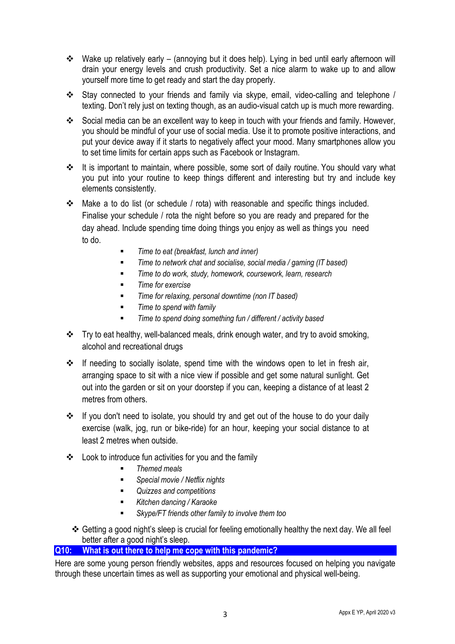- Wake up relatively early (annoying but it does help). Lying in bed until early afternoon will drain your energy levels and crush productivity. Set a nice alarm to wake up to and allow yourself more time to get ready and start the day properly.
- Stay connected to your friends and family via skype, email, video-calling and telephone / texting. Don't rely just on texting though, as an audio-visual catch up is much more rewarding.
- Social media can be an excellent way to keep in touch with your friends and family. However, you should be mindful of your use of social media. Use it to promote positive interactions, and put your device away if it starts to negatively affect your mood. Many smartphones allow you to set time limits for certain apps such as Facebook or Instagram.
- It is important to maintain, where possible, some sort of daily routine. You should vary what you put into your routine to keep things different and interesting but try and include key elements consistently.
- Make a to do list (or schedule / rota) with reasonable and specific things included. Finalise your schedule / rota the night before so you are ready and prepared for the day ahead. Include spending time doing things you enjoy as well as things you need to do.
	- -*Time to eat (breakfast, lunch and inner)*
	- -*Time to network chat and socialise, social media / gaming (IT based)*
	- -*Time to do work, study, homework, coursework, learn, research*
	- -*Time for exercise*
	- -*Time for relaxing, personal downtime (non IT based)*
	- -*Time to spend with family*
	- -*Time to spend doing something fun / different / activity based*
- \* Try to eat healthy, well-balanced meals, drink enough water, and try to avoid smoking, alcohol and recreational drugs
- $\cdot \cdot$  If needing to socially isolate, spend time with the windows open to let in fresh air, arranging space to sit with a nice view if possible and get some natural sunlight. Get out into the garden or sit on your doorstep if you can, keeping a distance of at least 2 metres from others.
- If you don't need to isolate, you should try and get out of the house to do your daily exercise (walk, jog, run or bike-ride) for an hour, keeping your social distance to at least 2 metres when outside.
- $\div$  Look to introduce fun activities for you and the family
	- -*Themed meals*
	- -*Special movie / Netflix nights*
	- -*Quizzes and competitions*
	- -*Kitchen dancing / Karaoke*
	- -*Skype/FT friends other family to involve them too*
	- Getting a good night's sleep is crucial for feeling emotionally healthy the next day. We all feel better after a good night's sleep.

## **Q10: What is out there to help me cope with this pandemic?**

Here are some young person friendly websites, apps and resources focused on helping you navigate through these uncertain times as well as supporting your emotional and physical well-being.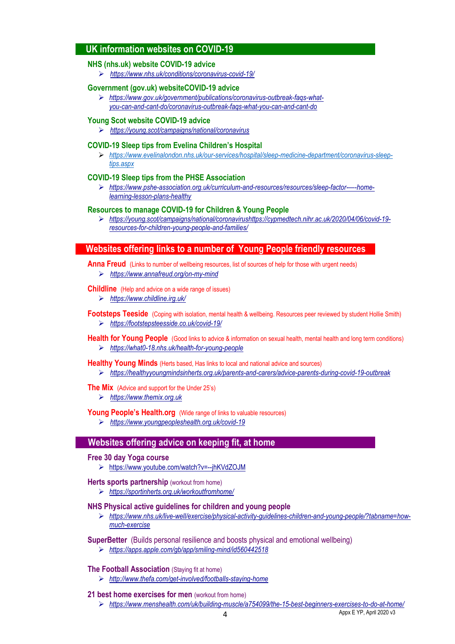## **UK information websites on COVID-19**

#### **NHS (nhs.uk) website COVID-19 advice**

*https://www.nhs.uk/conditions/coronavirus-covid-19/*

### **Government (gov.uk) websiteCOVID-19 advice**

 *https://www.gov.uk/government/publications/coronavirus-outbreak-faqs-whatyou-can-and-cant-do/coronavirus-outbreak-faqs-what-you-can-and-cant-do* 

#### **Young Scot website COVID-19 advice**

*https://young.scot/campaigns/national/coronavirus* 

#### **COVID-19 Sleep tips from Evelina Children's Hospital**

 *https://www.evelinalondon.nhs.uk/our-services/hospital/sleep-medicine-department/coronavirus-sleeptips.aspx*

#### **COVID-19 Sleep tips from the PHSE Association**

 *https://www.pshe-association.org.uk/curriculum-and-resources/resources/sleep-factor-—-homelearning-lesson-plans-healthy* 

#### **Resources to manage COVID-19 for Children & Young People**

 *https://young.scot/campaigns/national/coronavirushttps://cypmedtech.nihr.ac.uk/2020/04/06/covid-19 resources-for-children-young-people-and-families/* 

### **Websites offering links to a number of Young People friendly resources**

**Anna Freud** (Links to number of wellbeing resources, list of sources of help for those with urgent needs)

*https://www.annafreud.org/on-my-mind*

#### **Childline** (Help and advice on a wide range of issues)

*https://www.childline.irg.uk/*

**Footsteps Teeside** (Coping with isolation, mental health & wellbeing. Resources peer reviewed by student Hollie Smith)

- *https://footstepsteesside.co.uk/covid-19/*
- **Health for Young People** (Good links to advice & information on sexual health, mental health and long term conditions) *https://what0-18.nhs.uk/health-for-young-people*
- **Healthy Young Minds** (Herts based, Has links to local and national advice and sources) *https://healthyyoungmindsinherts.org.uk/parents-and-carers/advice-parents-during-covid-19-outbreak*

**The Mix** (Advice and support for the Under 25's)

*https://www.themix.org.uk*

Young People's Health.org (Wide range of links to valuable resources)

*https://www.youngpeopleshealth.org.uk/covid-19*

## **Websites offering advice on keeping fit, at home**

#### **Free 30 day Yoga course**

https://www.youtube.com/watch?v=--jhKVdZOJM

#### **Herts sports partnership** (workout from home)

*https://sportinherts.org.uk/workoutfromhome/* 

#### **NHS Physical active guidelines for children and young people**

 *https://www.nhs.uk/live-well/exercise/physical-activity-guidelines-children-and-young-people/?tabname=howmuch-exercise* 

#### **SuperBetter** (Builds personal resilience and boosts physical and emotional wellbeing)

*https://apps.apple.com/gb/app/smiling-mind/id560442518*

## **The Football Association** (Staying fit at home)

*http://www.thefa.com/get-involved/footballs-staying-home* 

#### **21 best home exercises for men** (workout from home)

*https://www.menshealth.com/uk/building-muscle/a754099/the-15-best-beginners-exercises-to-do-at-home/*